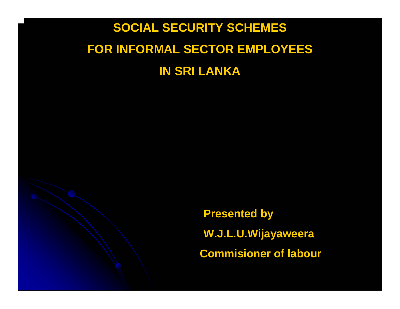### **SOCIAL SECURITY SCHEMES FOR INFORMAL SECTOR EMPLOYEES IN SRI LANKA**

**Presented by W.J.L.U.Wijayaweera Commisioner of labour**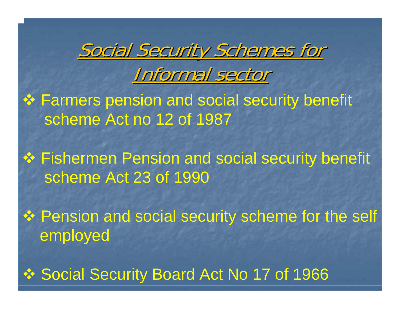

## Informal sector

- **❖ Farmers pension and social security benefit** scheme Act no 12 of 1987
- Fishermen Pension and social security benefit scheme Act 23 of 1990
- ❖ Pension and social security scheme for the self employed
- ❖ Social Security Board Act No 17 of 1966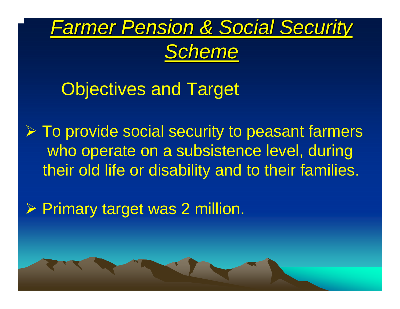

*Scheme*

### Objectives and Target

 $\triangleright$  To provide social security to peasant farmers who operate on a subsistence level, during their old life or disability and to their families.

¾ Primary target was 2 million.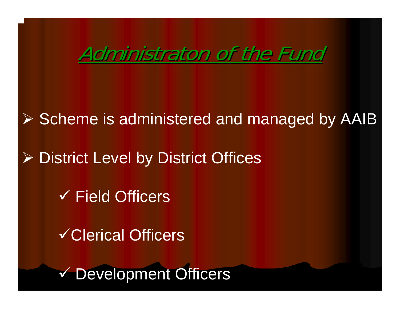### Administraton of the Fund

¾ Scheme is administered and managed by AAIB

¾ District Level by District Offices

 $\checkmark$  Field Officers

9Clerical Officers

9 Development Officers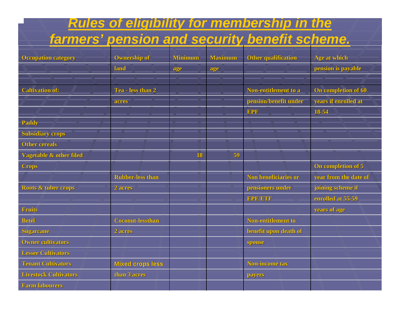#### *Rules of eligibility for membership in the*

#### *farmers' pension and security benefit scheme.*

| <b>Occupation category</b>         | <b>Ownership of</b>     | <b>Minimum</b> | <b>Maximum</b> | <b>Other qualification</b> | Age at which          |
|------------------------------------|-------------------------|----------------|----------------|----------------------------|-----------------------|
|                                    | land                    | age            | age            |                            | pension is payable    |
|                                    |                         |                |                |                            |                       |
| <b>Caltivation of:</b>             | Tea - less than 2       |                |                | Non-entitlement to a       | On completion of 60   |
|                                    | acres                   |                |                | pension/benefit under      | years if enrolled at  |
|                                    |                         |                |                | <b>EPF</b>                 | 18-54                 |
| <b>Paddy</b>                       |                         |                |                |                            |                       |
| <b>Subsidiary crops</b>            |                         |                |                |                            |                       |
| <b>Other cereals</b>               |                         |                |                |                            |                       |
| <b>Vagetable &amp; other filed</b> |                         | 18             | 59             |                            |                       |
| <b>Crops</b>                       |                         |                |                |                            | On completion of 5    |
|                                    | <b>Rubber-less than</b> |                |                | Non beneficiaries or       | year from the date of |
| Roots & tuber crops                | 2 acres                 |                |                | pensioners under           | joining scheme if     |
|                                    |                         |                |                | EPF/ETF                    | enrolled at 55-59     |
| <b>Fruits</b>                      |                         |                |                |                            | years of age          |
| <b>Betel</b>                       | <b>Coconut-lessthan</b> |                |                | <b>Non-entitlement to</b>  |                       |
| <b>Sugarcane</b>                   | 2 acres                 |                |                | benefit upon death of      |                       |
| <b>Owner cultivators</b>           |                         |                |                | spouse                     |                       |
| <b>Lessee Cultivators</b>          |                         |                |                |                            |                       |
| <b>Tenant Cultivators</b>          | <b>Mixed crops less</b> |                |                | Non-income tax             |                       |
| <b>Livestock Cultivators</b>       | than 3 acres            |                |                | payers                     |                       |
| <b>Farm labourers</b>              |                         |                |                |                            |                       |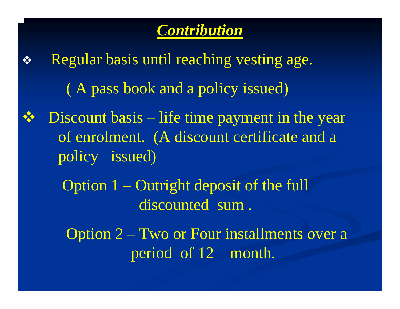

- $\frac{1}{2}$  Regular basis until reaching vesting age. ( A pass book and a policy issued) Discount basis – life time payment in the year of enrolment. (A discount certificate and a policy issued)
	- Option 1 Outright deposit of the full discounted sum.
		- Option 2 Two or Four installments over a period of 12 month.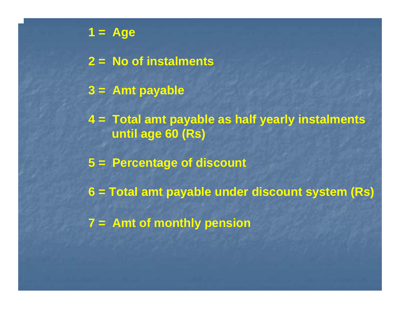**1 = Age 2 = No of instalments 3 = Amt payable 4 = Total amt payable as half yearly instalments until age 60 (Rs) 5 = Percentage of discount 6 = Total amt payable under discount system (Rs) 7 = Amt of monthly pension**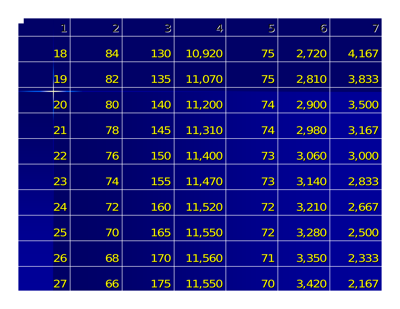| $\mathbf 1$   | $\overline{2}$ | 3   | 4      | 5  | $\acute{\mathrm{o}}$ | $\overline{\int}$ |
|---------------|----------------|-----|--------|----|----------------------|-------------------|
| 18            | 84             | 130 | 10,920 | 75 | 2,720                | 4,167             |
| 19            | 82             | 135 | 11,070 | 75 | 2,810                | 3,833             |
| 20            | 80             | 140 | 11,200 | 74 | 2,900                | 3,500             |
| $\mathbf{21}$ | 78             | 145 | 11,310 | 74 | 2,980                | 3,167             |
| 22            | 76             | 150 | 11,400 | 73 | 3,060                | 3,000             |
| 23            | 74             | 155 | 11,470 | 73 | 3,140                | 2,833             |
| 24            | 72             | 160 | 11,520 | 72 | 3,210                | 2,667             |
| 25            | 70             | 165 | 11,550 | 72 | 3,280                | 2,500             |
| 26            | 68             | 170 | 11,560 | 71 | 3,350                | 2,333             |
| 27            | 66             | 175 | 11,550 | 70 | 3,420                | 2,167             |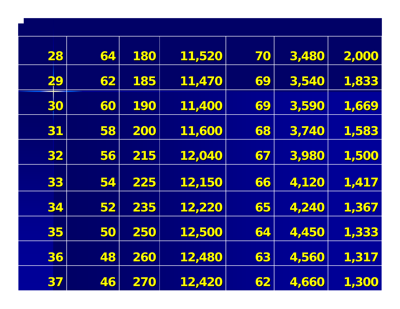| 28 | 64 | 180 | 11,520 | 70 | 3,480 | 2,000 |
|----|----|-----|--------|----|-------|-------|
| 29 | 62 | 185 | 11,470 | 69 | 3,540 | 1,833 |
| 30 | 60 | 190 | 11,400 | 69 | 3,590 | 1,669 |
| 31 | 58 | 200 | 11,600 | 68 | 3,740 | 1,583 |
| 32 | 56 | 215 | 12,040 | 67 | 3,980 | 1,500 |
| 33 | 54 | 225 | 12,150 | 66 | 4,120 | 1,417 |
| 34 | 52 | 235 | 12,220 | 65 | 4,240 | 1,367 |
| 35 | 50 | 250 | 12,500 | 64 | 4,450 | 1,333 |
| 36 | 48 | 260 | 12,480 | 63 | 4,560 | 1,317 |
| 37 | 46 | 270 | 12,420 | 62 | 4,660 | 1,300 |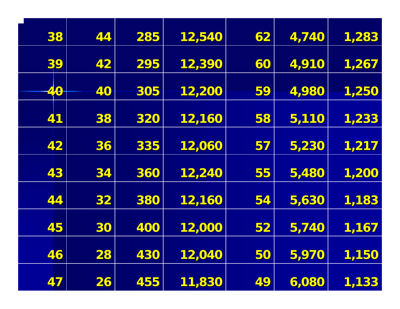| 38  | 44                       | 285 | 12,540 | 62 | 4,740 | 1,283 |
|-----|--------------------------|-----|--------|----|-------|-------|
| 39  | 42                       | 295 | 12,390 | 60 | 4,910 | 1,267 |
| 40- | 40                       | 305 | 12,200 | 59 | 4,980 | 1,250 |
| 41  | 38                       | 320 | 12,160 | 58 | 5,110 | 1,233 |
| 42  | 36                       | 335 | 12,060 | 57 | 5,230 | 1,217 |
| 43  | 34                       | 360 | 12,240 | 55 | 5,480 | 1,200 |
| 44  | 32                       | 380 | 12,160 | 54 | 5,630 | 1,183 |
| 45  | 30                       | 400 | 12,000 | 52 | 5,740 | 1,167 |
| 46  | 28                       | 430 | 12,040 | 50 | 5,970 | 1,150 |
| 47  | $\overline{\mathbf{26}}$ | 455 | 11,830 | 49 | 6,080 | 1,133 |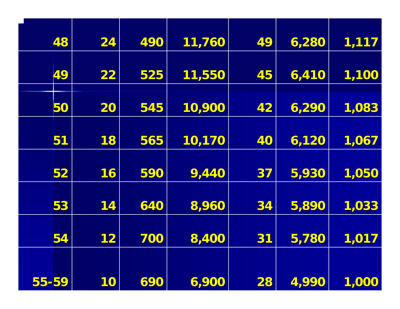|       | 48 | 24 | 490 | 11,760 | 49 | 6,280 | 1,117 |
|-------|----|----|-----|--------|----|-------|-------|
|       |    |    |     |        |    |       |       |
|       | 49 | 22 | 525 | 11,550 | 45 | 6,410 | 1,100 |
|       |    |    |     |        |    |       |       |
|       | 50 | 20 | 545 | 10,900 | 42 | 6,290 | 1,083 |
|       |    |    |     |        |    |       |       |
|       | 51 | 18 | 565 | 10,170 | 40 | 6,120 | 1,067 |
|       |    |    |     |        |    |       |       |
|       | 52 | 16 | 590 | 9,440  | 37 | 5,930 | 1,050 |
|       |    |    |     |        |    |       |       |
|       | 53 | 14 | 640 | 8,960  | 34 | 5,890 | 1,033 |
|       |    |    |     |        |    |       |       |
|       | 54 | 12 | 700 | 8,400  | 31 | 5,780 | 1,017 |
|       |    |    |     |        |    |       |       |
|       |    |    |     |        |    |       |       |
| 55-59 |    | 10 | 690 | 6,900  | 28 | 4,990 | 1,000 |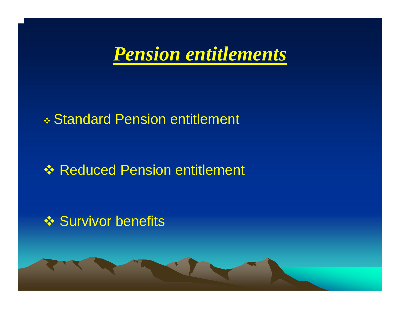

#### Standard Pension entitlement

### **<sup>❖</sup> Reduced Pension entitlement**

#### **❖ Survivor benefits**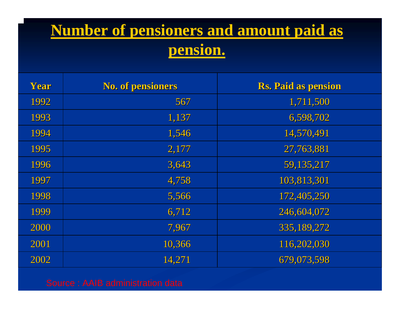### **Number of pensioners and amount paid as pension.**

| Year | <b>No. of pensioners</b> | <b>Rs. Paid as pension</b> |
|------|--------------------------|----------------------------|
| 1992 | 567                      | 1,711,500                  |
| 1993 | 1,137                    | 6,598,702                  |
| 1994 | 1,546                    | 14,570,491                 |
| 1995 | 2,177                    | 27,763,881                 |
| 1996 | 3,643                    | 59,135,217                 |
| 1997 | 4,758                    | 103,813,301                |
| 1998 | 5,566                    | 172,405,250                |
| 1999 | 6,712                    | 246,604,072                |
| 2000 | 7,967                    | 335, 189, 272              |
| 2001 | 10,366                   | 116,202,030                |
| 2002 | 14,271                   | 679,073,598                |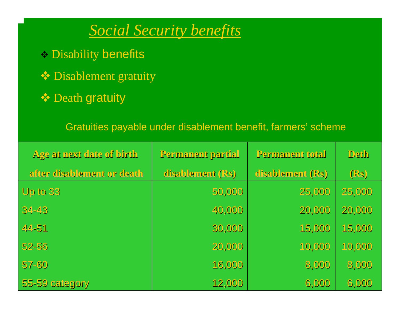*Social Security benefits*

- Disability benefits
- Disablement gratuity
- **❖** Death gratuity

Gratuities payable under disablement benefit, farmers' scheme

| Age at next date of birth  | Permanent partial | Permanent total  | <b>Deth</b> |
|----------------------------|-------------------|------------------|-------------|
| after disablement or death | disablement (Rs)  | disablement (Rs) | $($ Rs)     |
| Up to 33                   | 50,000            | 25,000           | 25,000      |
| 34-43                      | 40,000            | 20,000           | 20,000      |
| 44-51                      | 30,000            | 15,000           | 15,000      |
| $52 - 56$                  | 20,000            | 10,000           | 10,000      |
| $57 - 60$                  | 16,000            | 8,000            | 8,000       |
| 55-59 category             | 12,000            | 6,000            | 6,000       |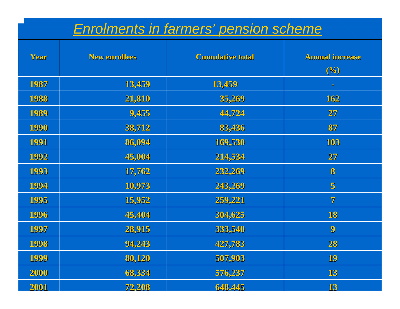#### *Enrolments in farmers' pension scheme*

| Year | <b>New enrollees</b> | <b>Cumulative total</b> | <b>Annual increase</b><br>(%) |
|------|----------------------|-------------------------|-------------------------------|
| 1987 | 13,459               | 13,459                  | $\blacksquare$                |
| 1988 | 21,810               | 35,269                  | 162                           |
| 1989 | 9,455                | 44,724                  | 27                            |
| 1990 | 38,712               | 83,436                  | 87                            |
| 1991 | 86,094               | 169,530                 | 103                           |
| 1992 | 45,004               | 214,534                 | 27                            |
| 1993 | 17,762               | 232,269                 | 8                             |
| 1994 | 10,973               | 243,269                 | $\overline{5}$                |
| 1995 | 15,952               | 259,221                 | $\overline{7}$                |
| 1996 | 45,404               | 304,625                 | 18                            |
| 1997 | 28,915               | 333,540                 | $\boldsymbol{9}$              |
| 1998 | 94,243               | 427,783                 | 28                            |
| 1999 | 80,120               | 507,903                 | 19                            |
| 2000 | 68,334               | 576,237                 | 13                            |
| 2001 | 72.208               | 648.445                 | 13                            |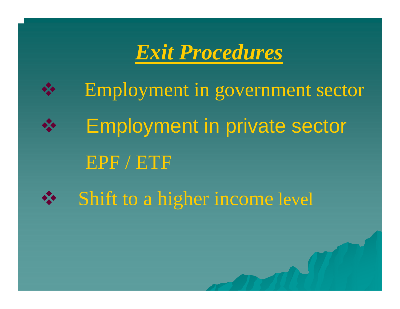

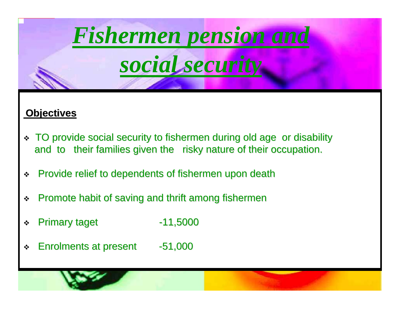

#### **Objectives Objectives**

- \* TO provide social security to fishermen during old age or disability and to their families given the risky nature of their occupation.
- $\frac{1}{2}$ Provide relief to dependents of fishermen upon death
- $\mathbf{r}_{\mathbf{c}}^{\mathbf{r}_{\mathbf{c}}}$ Promote habit of saving and thrift among fishermen
- $\mathbf{r}$ **Primary taget**  $-11,5000$
- $\mathbf{r}$ Enrolments at present Enrolments at present -51,000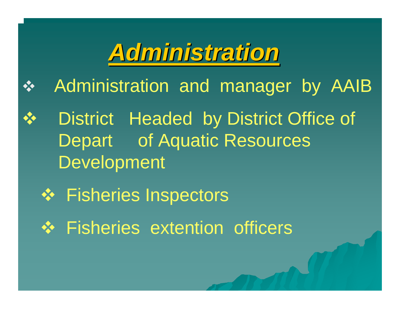# *Administration Administration*

- $\frac{1}{2}$ Administration and manager by AAIB
- District Headed by District Office of Depart of Aquatic Resources Development
	- Fisheries Inspectors
	- $\div$  **Fisheries extention officers**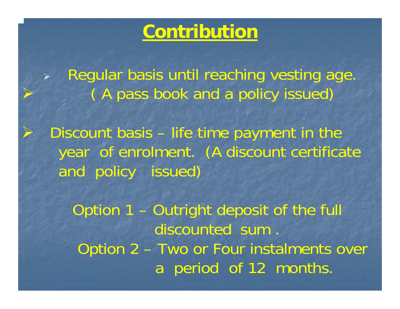### **Contribution**

¾ Regular basis until reaching vesting age. ( A pass book and a policy issued)

¾

¾

 Discount basis – life time payment in the year of enrolment. (A discount certificate and policy issued)

Option 1 – Outright deposit of the full discounted sum . Option 2 – Two or Four instalments over a period of 12 months.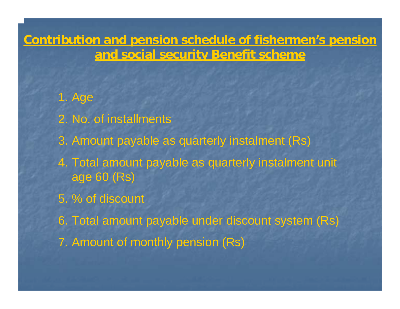**Contribution and pension schedule of fishermen's pension and social security Benefit scheme**

- 1. Age 2. No. of installments 3. Amount payable as quarterly instalment (Rs) 4. Total amount payable as quarterly instalment unit age 60 (Rs) 5. % of discount
- 6. Total amount payable under discount system (Rs)
- 7. Amount of monthly pension (Rs)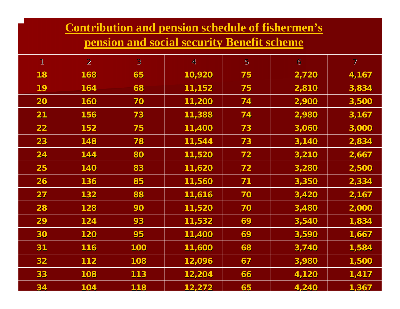#### **Contribution and pension schedule of fishermen's**

#### **pension and social security Benefit scheme**

| 1         | $\overline{2}$ | $3\overline{)}$ | 4 <sub>r</sub> | $5\overline{)}$ | $\ddot{\circ}$ | $\mathcal{I}$ |
|-----------|----------------|-----------------|----------------|-----------------|----------------|---------------|
| <b>18</b> | 168            | 65              | 10,920         | 75              | 2,720          | 4,167         |
| 19        | 164            | 68              | 11,152         | 75              | 2,810          | 3,834         |
| 20        | 160            | 70              | 11,200         | 74              | 2,900          | 3,500         |
| 21        | 156            | 73              | 11,388         | 74              | 2,980          | 3,167         |
| 22        | 152            | 75              | 11,400         | 73              | 3,060          | 3,000         |
| 23        | 148            | 78              | 11,544         | 73              | 3,140          | 2,834         |
| 24        | 144            | 80              | 11,520         | 72              | 3,210          | 2,667         |
| 25        | 140            | 83              | 11,620         | 72              | 3,280          | 2,500         |
| 26        | 136            | 85              | 11,560         | 71              | 3,350          | 2,334         |
| 27        | 132            | 88              | 11,616         | 70              | 3,420          | 2,167         |
| 28        | 128            | 90              | 11,520         | 70              | 3,480          | 2,000         |
| 29        | 124            | 93              | 11,532         | 69              | 3,540          | 1,834         |
| 30        | 120            | 95              | 11,400         | 69              | 3,590          | 1,667         |
| 31        | 116            | 100             | 11,600         | 68              | 3,740          | 1,584         |
| 32        | 112            | 108             | 12,096         | 67              | 3,980          | 1,500         |
| 33        | 108            | 113             | 12,204         | 66              | 4,120          | 1,417         |
| 34        | 104            | 118             | 12.272         | 65              | 4.240          | 1.367         |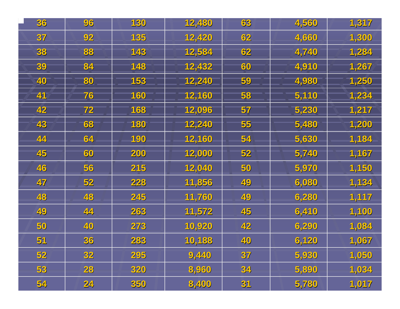| 36 <sub>1</sub> | 96 | 130        | 12,480 | 63 | 4,560 | 1,317 |
|-----------------|----|------------|--------|----|-------|-------|
| 37              | 92 | <b>135</b> | 12,420 | 62 | 4,660 | 1,300 |
| 38              | 88 | 143        | 12,584 | 62 | 4,740 | 1,284 |
| 39              | 84 | 148        | 12,432 | 60 | 4,910 | 1,267 |
| 40              | 80 | 153        | 12,240 | 59 | 4,980 | 1,250 |
| 41              | 76 | 160        | 12,160 | 58 | 5,110 | 1,234 |
| 42              | 72 | <b>168</b> | 12,096 | 57 | 5,230 | 1,217 |
| 43              | 68 | 180        | 12,240 | 55 | 5,480 | 1,200 |
| 44              | 64 | 190        | 12,160 | 54 | 5,630 | 1,184 |
| 45              | 60 | 200        | 12,000 | 52 | 5,740 | 1,167 |
| 46              | 56 | 215        | 12,040 | 50 | 5,970 | 1,150 |
| 47              | 52 | 228        | 11,856 | 49 | 6,080 | 1,134 |
| 48              | 48 | 245        | 11,760 | 49 | 6,280 | 1,117 |
| 49              | 44 | 263        | 11,572 | 45 | 6,410 | 1,100 |
| 50              | 40 | 273        | 10,920 | 42 | 6,290 | 1,084 |
| 51              | 36 | 283        | 10,188 | 40 | 6,120 | 1,067 |
| 52              | 32 | 295        | 9,440  | 37 | 5,930 | 1,050 |
| 53              | 28 | 320        | 8,960  | 34 | 5,890 | 1,034 |
| 54              | 24 | 350        | 8,400  | 31 | 5,780 | 1,017 |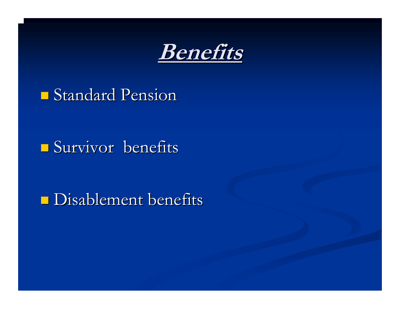

### **Standard Pension**

#### Survivor benefits

### **Disablement benefits**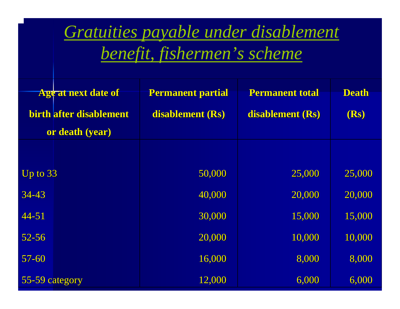### *Gratuities payable under disablement benefit, fishermen's scheme*

| <b>Age at next date of</b> | <b>Permanent partial</b> | <b>Permanent total</b> | <b>Death</b> |
|----------------------------|--------------------------|------------------------|--------------|
| birth after disablement    | disablement (Rs)         | disablement (Rs)       | (Rs)         |
| or death (year)            |                          |                        |              |
|                            |                          |                        |              |
| Up to $33$                 | 50,000                   | 25,000                 | 25,000       |
| $34 - 43$                  | 40,000                   | 20,000                 | 20,000       |
| $44 - 51$                  | 30,000                   | 15,000                 | 15,000       |
| $52 - 56$                  | 20,000                   | 10,000                 | 10,000       |
| $57 - 60$                  | 16,000                   | 8,000                  | 8,000        |
| 55-59 category             | 12,000                   | 6,000                  | 6,000        |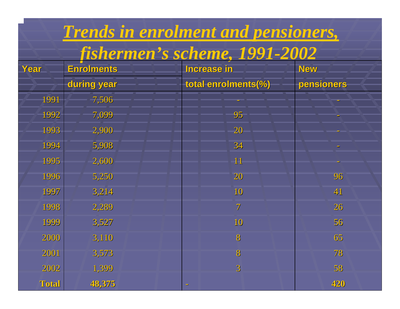|       |                   | Trends in enrolment and pensioners, |            |
|-------|-------------------|-------------------------------------|------------|
|       |                   | fishermen's scheme, 1991-2002       |            |
| Year  | <b>Enrolments</b> | <b>Increase in</b>                  | <b>New</b> |
|       | during year       | total enrolments(%)                 | pensioners |
| 1991  | 7,506             |                                     |            |
| 1992  | 7,099             | 95                                  |            |
| 1993  | 2,900             | 20                                  |            |
| 1994  | 5,908             | 34                                  |            |
| 1995  | 2,600             | 11                                  |            |
| 1996  | 5,250             | 20                                  | 96         |
| 1997  | 3,214             | 10                                  | 41         |
| 1998  | 2,289             | $\overline{7}$                      | 26         |
| 1999  | 3,527             | 10                                  | 56         |
| 2000  | 3,110             | 8                                   | 65         |
| 2001  | 3,573             | 8                                   | 78         |
| 2002  | 1,399             | $\overline{3}$                      | 58         |
| Total | 48,375            |                                     | 420        |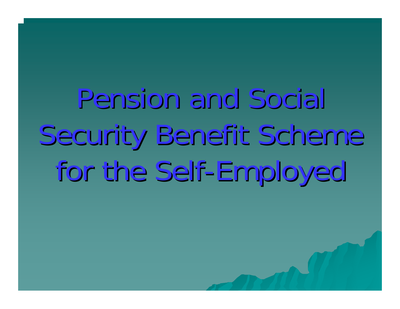Pension and Social Security Benefit Scheme for the Self-Employed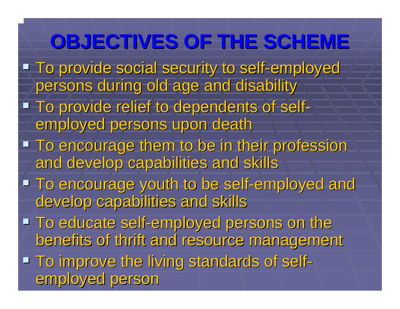### **OBJECTIVES OF THE SCHEME**

- **To provide social security to self-employed** persons during old age and disability
- **To provide relief to dependents of self** employed persons upon death
- **To encourage them to be in their profession** and develop capabilities and skills
- To encourage youth to be self-employed and develop capabilities and skills
- $\blacksquare$  To educate self-employed persons on the benefits of thrift and resource management
- **To improve the living standards of self**  $\mathcal{L}_{\mathcal{A}}$ employed person employed person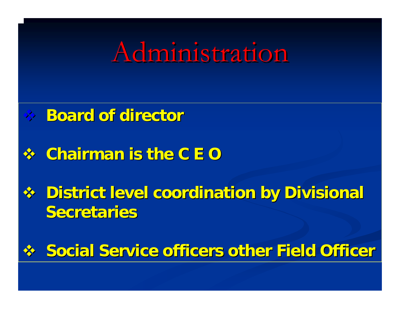# Administration

### **Board of director Board of director**

### **Chairman is the C E O Chairman is the C E O**

**Example 13 Section 19 Section 19 Section 2 Bulge 19 Section 2 Property Coordinates Section 2 Property Rev Secretaries** 

### **Social Service officers other Field Officers on Social Service of Figure 1.5 Social Service Service Service Service Service Service Service Service Service Service Service Service Service Service Service Service Service S**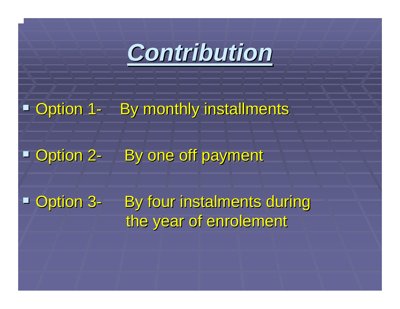

#### **D** Option 1 <u>- By monthly installments</u>

#### **P** Option 2 By one off payment

**Deption 3** By four instalments during the year of enrolement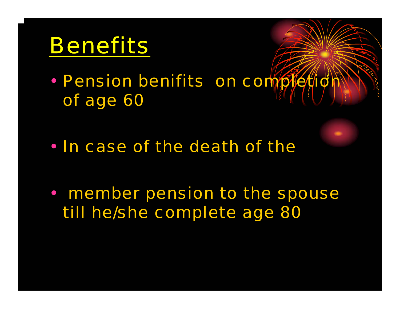# Benefits

•• Pension benifits on completion of age 60

• In case of the death of the

• member pension to the spouse till he/she complete age 80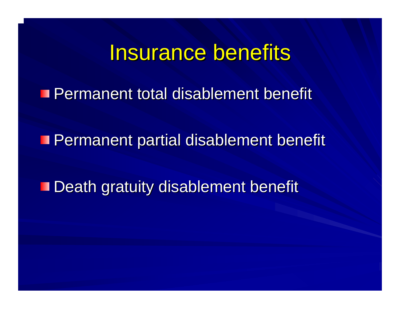### Insurance benefits

**Permanent total disablement benefit** 

**Permanent partial disablement benefit** 

**Death gratuity disablement benefit**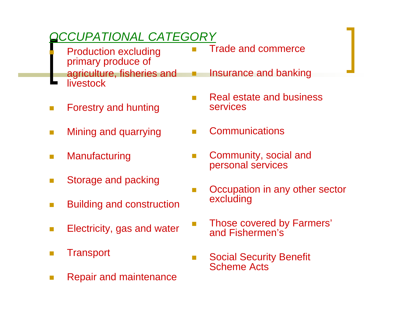#### *OCCUPATIONAL CATEGORY*

- Production excluding primary produce of agriculture, fisheries and **livestock**
- П Forestry and hunting
- П Mining and quarrying
- $\sim$ **Manufacturing**

П

- $\sim$ Storage and packing
- $\Box$ Building and construction
- $\Box$ Electricity, gas and water
- $\Box$ **Transport**
- $\Box$ Repair and maintenance

Trade and commerce

 $\Box$ 

 $\Box$ 

- Insurance and banking
- $\Box$  Real estate and business services
- $\Box$ **Communications**
- $\Box$  Community, social and personal services
- $\Box$  Occupation in any other sector excluding
	- Those covered by Farmers' and Fishermen's
- $\Box$  Social Security Benefit Scheme Acts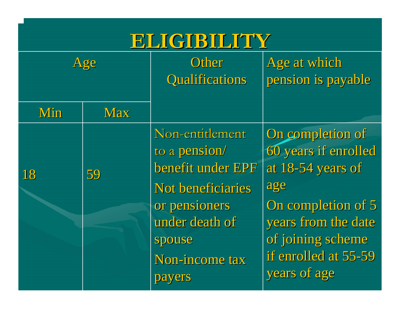### **ELIGIBILITY ELIGIBILITY**

| Age |            | Other<br><b>Qualifications</b>                                                                                                                      | Age at which<br>pension is payable                                                                                                                                             |
|-----|------------|-----------------------------------------------------------------------------------------------------------------------------------------------------|--------------------------------------------------------------------------------------------------------------------------------------------------------------------------------|
| Min | <b>Max</b> |                                                                                                                                                     |                                                                                                                                                                                |
| 18  | 59         | Non-entitlement<br>to a pension/<br>benefit under EPF<br>Not beneficiaries<br>or pensioners<br>under death of<br>spouse<br>Non-income tax<br>payers | On completion of<br>60 years if enrolled<br>at 18-54 years of<br>age<br>On completion of 5<br>years from the date<br>of joining scheme<br>if enrolled at 55-59<br>years of age |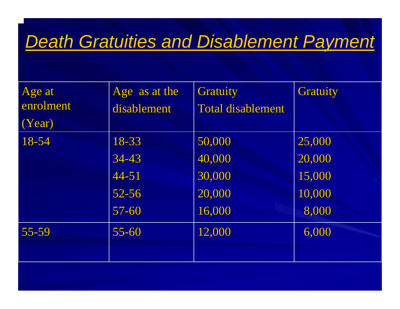### *Death Gratuities and Disablement Payment*

| Age at<br>enrolment<br>(Year) | Age as at the<br>disablement                          | <b>Gratuity</b><br><b>Total disablement</b>    | <b>Gratuity</b>                               |
|-------------------------------|-------------------------------------------------------|------------------------------------------------|-----------------------------------------------|
| 18-54                         | 18-33<br>$34 - 43$<br>$44 - 51$<br>$52 - 56$<br>57-60 | 50,000<br>40,000<br>30,000<br>20,000<br>16,000 | 25,000<br>20,000<br>15,000<br>10,000<br>8,000 |
| $55 - 59$                     | $55 - 60$                                             | 12,000                                         | 6,000                                         |